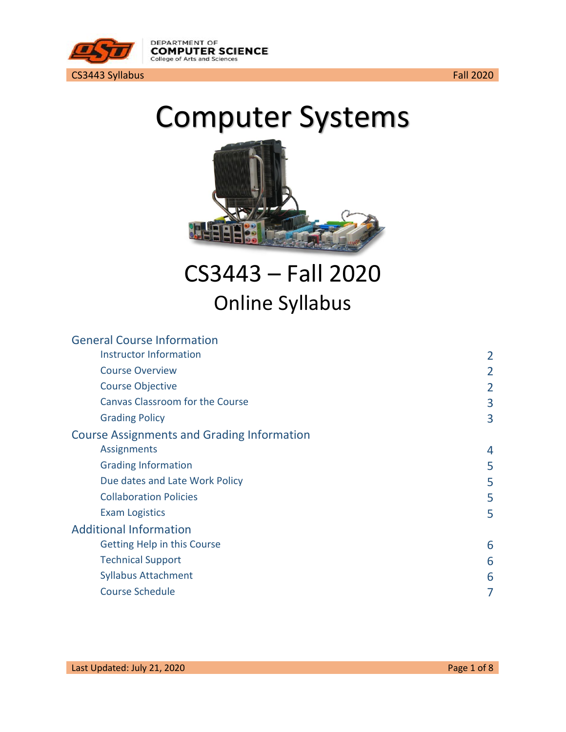

# Computer Systems



CS3443 – Fall 2020 Online Syllabus

| <b>General Course Information</b>                 |                |
|---------------------------------------------------|----------------|
| <b>Instructor Information</b>                     | 2              |
| <b>Course Overview</b>                            | 2              |
| <b>Course Objective</b>                           |                |
| <b>Canvas Classroom for the Course</b>            | 3              |
| <b>Grading Policy</b>                             | 3              |
| <b>Course Assignments and Grading Information</b> |                |
| Assignments                                       | $\overline{4}$ |
| <b>Grading Information</b>                        | 5              |
| Due dates and Late Work Policy                    | 5              |
| <b>Collaboration Policies</b>                     | 5              |
| <b>Exam Logistics</b>                             | 5              |
| <b>Additional Information</b>                     |                |
| Getting Help in this Course                       | 6              |
| <b>Technical Support</b>                          | 6              |
| <b>Syllabus Attachment</b>                        | 6              |
| <b>Course Schedule</b>                            |                |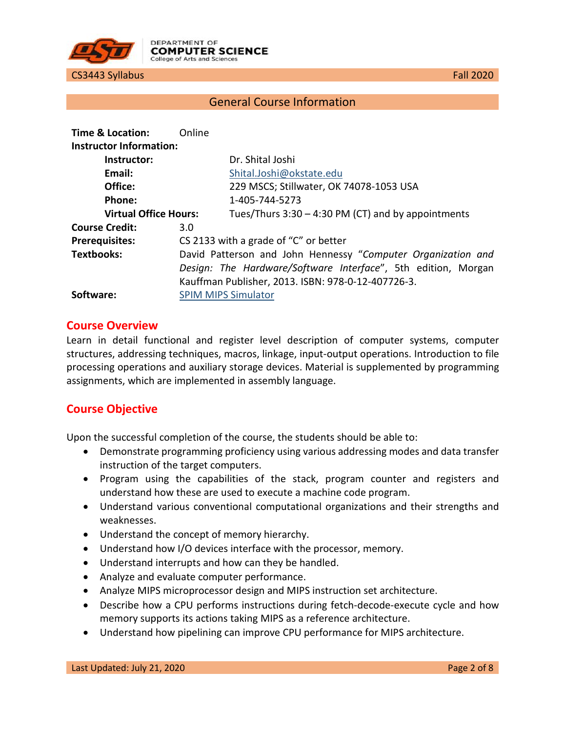

# General Course Information

<span id="page-1-1"></span><span id="page-1-0"></span>

| Time & Location:               | Online |                                                               |
|--------------------------------|--------|---------------------------------------------------------------|
| <b>Instructor Information:</b> |        |                                                               |
| Instructor:                    |        | Dr. Shital Joshi                                              |
| Email:                         |        | Shital.Joshi@okstate.edu                                      |
| Office:                        |        | 229 MSCS; Stillwater, OK 74078-1053 USA                       |
| Phone:                         |        | 1-405-744-5273                                                |
| <b>Virtual Office Hours:</b>   |        | Tues/Thurs $3:30 - 4:30$ PM (CT) and by appointments          |
| <b>Course Credit:</b>          | 3.0    |                                                               |
| <b>Prerequisites:</b>          |        | CS 2133 with a grade of "C" or better                         |
| <b>Textbooks:</b>              |        | David Patterson and John Hennessy "Computer Organization and  |
|                                |        | Design: The Hardware/Software Interface", 5th edition, Morgan |
|                                |        | Kauffman Publisher, 2013. ISBN: 978-0-12-407726-3.            |
| Software:                      |        | <b>SPIM MIPS Simulator</b>                                    |

#### <span id="page-1-2"></span>**Course Overview**

Learn in detail functional and register level description of computer systems, computer structures, addressing techniques, macros, linkage, input-output operations. Introduction to file processing operations and auxiliary storage devices. Material is supplemented by programming assignments, which are implemented in assembly language.

## <span id="page-1-3"></span>**Course Objective**

Upon the successful completion of the course, the students should be able to:

- Demonstrate programming proficiency using various addressing modes and data transfer instruction of the target computers.
- Program using the capabilities of the stack, program counter and registers and understand how these are used to execute a machine code program.
- Understand various conventional computational organizations and their strengths and weaknesses.
- Understand the concept of memory hierarchy.
- Understand how I/O devices interface with the processor, memory.
- Understand interrupts and how can they be handled.
- Analyze and evaluate computer performance.
- Analyze MIPS microprocessor design and MIPS instruction set architecture.
- Describe how a CPU performs instructions during fetch-decode-execute cycle and how memory supports its actions taking MIPS as a reference architecture.
- Understand how pipelining can improve CPU performance for MIPS architecture.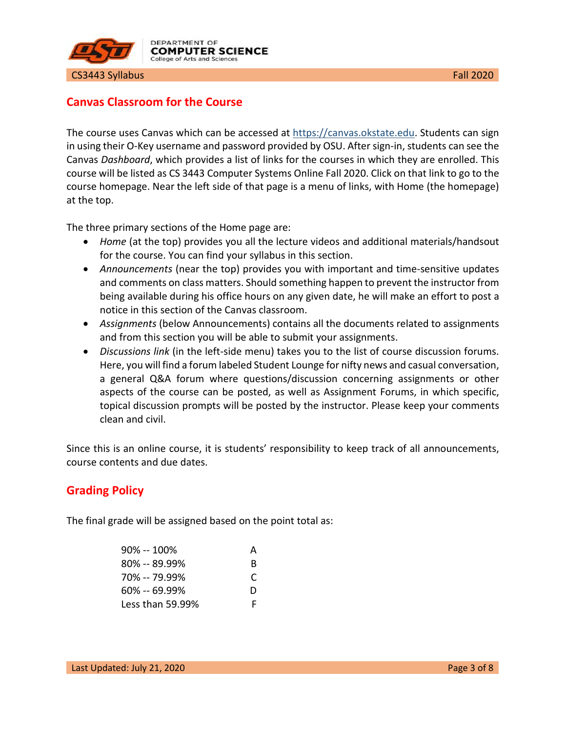

# <span id="page-2-0"></span>**Canvas Classroom for the Course**

The course uses Canvas which can be accessed at [https://canvas.okstate.edu.](https://canvas.okstate.edu/) Students can sign in using their O-Key username and password provided by OSU. After sign-in, students can see the Canvas *Dashboard*, which provides a list of links for the courses in which they are enrolled. This course will be listed as CS 3443 Computer Systems Online Fall 2020. Click on that link to go to the course homepage. Near the left side of that page is a menu of links, with Home (the homepage) at the top.

The three primary sections of the Home page are:

- *Home* (at the top) provides you all the lecture videos and additional materials/handsout for the course. You can find your syllabus in this section.
- *Announcements* (near the top) provides you with important and time-sensitive updates and comments on class matters. Should something happen to prevent the instructor from being available during his office hours on any given date, he will make an effort to post a notice in this section of the Canvas classroom.
- *Assignments* (below Announcements) contains all the documents related to assignments and from this section you will be able to submit your assignments.
- *Discussions link* (in the left-side menu) takes you to the list of course discussion forums. Here, you will find a forum labeled Student Lounge for nifty news and casual conversation, a general Q&A forum where questions/discussion concerning assignments or other aspects of the course can be posted, as well as Assignment Forums, in which specific, topical discussion prompts will be posted by the instructor. Please keep your comments clean and civil.

Since this is an online course, it is students' responsibility to keep track of all announcements, course contents and due dates.

# <span id="page-2-1"></span>**Grading Policy**

The final grade will be assigned based on the point total as:

| $90\% - 100\%$   | А |
|------------------|---|
| $80\% - 89.99\%$ | R |
| 70% -- 79.99%    | C |
| $60\% - 69.99\%$ | D |
| Less than 59.99% | F |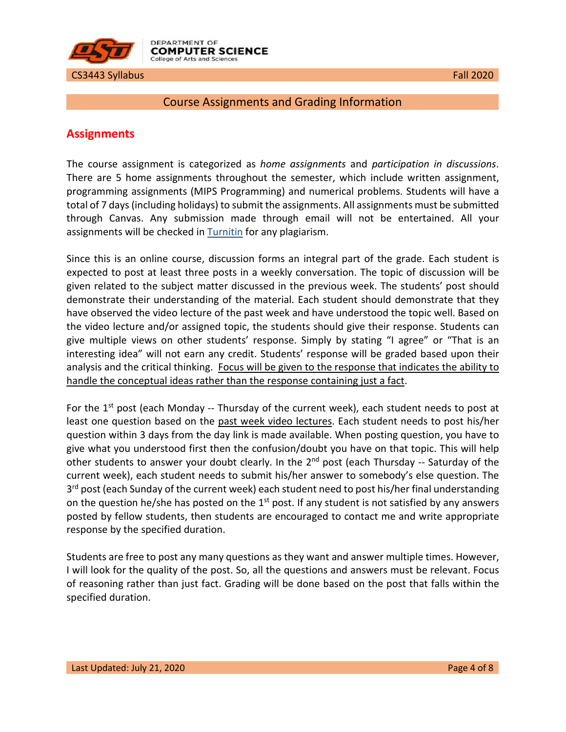

#### <span id="page-3-0"></span>Course Assignments and Grading Information

# <span id="page-3-1"></span>**Assignments**

The course assignment is categorized as *home assignments* and *participation in discussions*. There are 5 home assignments throughout the semester, which include written assignment, programming assignments (MIPS Programming) and numerical problems. Students will have a total of 7 days (including holidays) to submit the assignments. All assignments must be submitted through Canvas. Any submission made through email will not be entertained. All your assignments will be checked in **Turnitin** for any plagiarism.

Since this is an online course, discussion forms an integral part of the grade. Each student is expected to post at least three posts in a weekly conversation. The topic of discussion will be given related to the subject matter discussed in the previous week. The students' post should demonstrate their understanding of the material. Each student should demonstrate that they have observed the video lecture of the past week and have understood the topic well. Based on the video lecture and/or assigned topic, the students should give their response. Students can give multiple views on other students' response. Simply by stating "I agree" or "That is an interesting idea" will not earn any credit. Students' response will be graded based upon their analysis and the critical thinking. Focus will be given to the response that indicates the ability to handle the conceptual ideas rather than the response containing just a fact.

For the  $1<sup>st</sup>$  post (each Monday -- Thursday of the current week), each student needs to post at least one question based on the past week video lectures. Each student needs to post his/her question within 3 days from the day link is made available. When posting question, you have to give what you understood first then the confusion/doubt you have on that topic. This will help other students to answer your doubt clearly. In the 2<sup>nd</sup> post (each Thursday -- Saturday of the current week), each student needs to submit his/her answer to somebody's else question. The  $3<sup>rd</sup>$  post (each Sunday of the current week) each student need to post his/her final understanding on the question he/she has posted on the  $1<sup>st</sup>$  post. If any student is not satisfied by any answers posted by fellow students, then students are encouraged to contact me and write appropriate response by the specified duration.

Students are free to post any many questions as they want and answer multiple times. However, I will look for the quality of the post. So, all the questions and answers must be relevant. Focus of reasoning rather than just fact. Grading will be done based on the post that falls within the specified duration.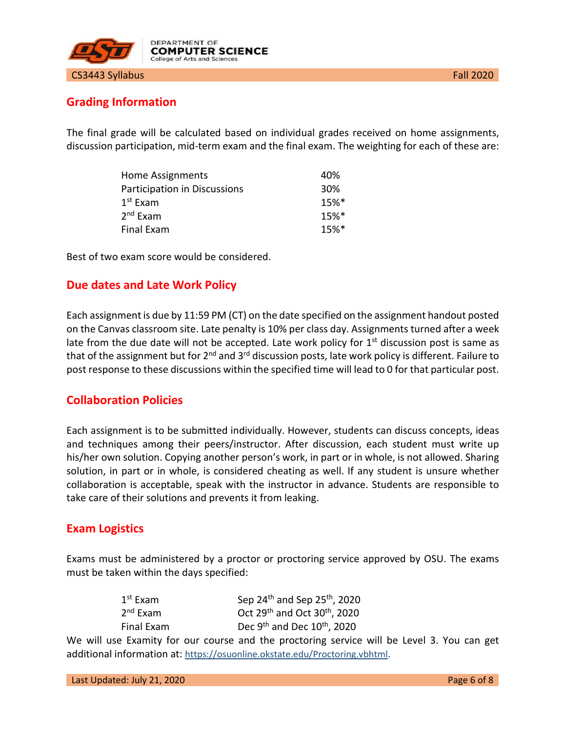

# <span id="page-4-0"></span>**Grading Information**

The final grade will be calculated based on individual grades received on home assignments, discussion participation, mid-term exam and the final exam. The weighting for each of these are:

| Home Assignments             | 40%                |
|------------------------------|--------------------|
| Participation in Discussions | 30%                |
| $1^{\rm st}$ Exam            | $15%$ <sup>*</sup> |
| 2 <sup>nd</sup> Exam         | $15%$ <sup>*</sup> |
| Final Exam                   | $15%$ <sup>*</sup> |

Best of two exam score would be considered.

#### <span id="page-4-1"></span>**Due dates and Late Work Policy**

Each assignment is due by 11:59 PM (CT) on the date specified on the assignment handout posted on the Canvas classroom site. Late penalty is 10% per class day. Assignments turned after a week late from the due date will not be accepted. Late work policy for  $1<sup>st</sup>$  discussion post is same as that of the assignment but for 2<sup>nd</sup> and 3<sup>rd</sup> discussion posts, late work policy is different. Failure to post response to these discussions within the specified time will lead to 0 for that particular post.

## <span id="page-4-2"></span>**Collaboration Policies**

Each assignment is to be submitted individually. However, students can discuss concepts, ideas and techniques among their peers/instructor. After discussion, each student must write up his/her own solution. Copying another person's work, in part or in whole, is not allowed. Sharing solution, in part or in whole, is considered cheating as well. If any student is unsure whether collaboration is acceptable, speak with the instructor in advance. Students are responsible to take care of their solutions and prevents it from leaking.

#### <span id="page-4-3"></span>**Exam Logistics**

Exams must be administered by a proctor or proctoring service approved by OSU. The exams must be taken within the days specified:

| $1^{\rm st}$ Exam    |
|----------------------|
| 2 <sup>nd</sup> Exam |
| Final Exam           |

Sep 24<sup>th</sup> and Sep 25<sup>th</sup>, 2020 Oct  $29<sup>th</sup>$  and Oct  $30<sup>th</sup>$ , 2020 Dec 9<sup>th</sup> and Dec  $10^{th}$ , 2020

We will use Examity for our course and the proctoring service will be Level 3. You can get additional information at: [https://osuonline.okstate.edu/Proctoring.vbhtml.](https://osuonline.okstate.edu/Proctoring.vbhtml)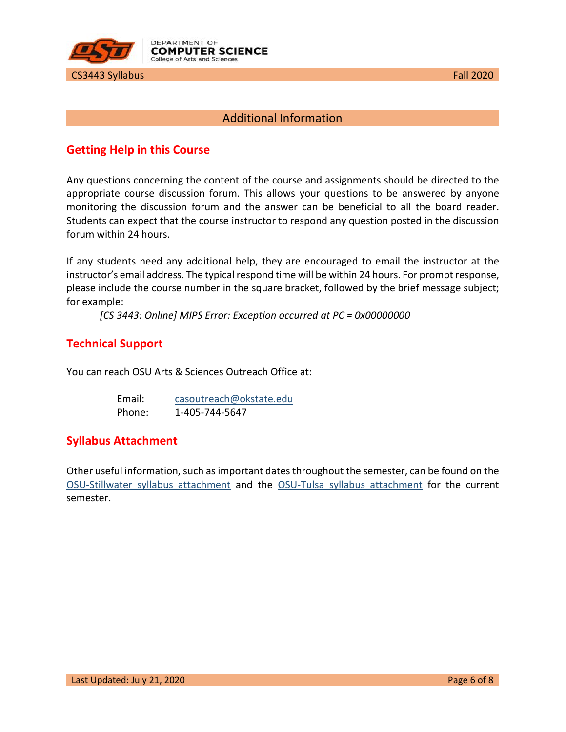

# Additional Information

# <span id="page-5-1"></span><span id="page-5-0"></span>**Getting Help in this Course**

Any questions concerning the content of the course and assignments should be directed to the appropriate course discussion forum. This allows your questions to be answered by anyone monitoring the discussion forum and the answer can be beneficial to all the board reader. Students can expect that the course instructor to respond any question posted in the discussion forum within 24 hours.

If any students need any additional help, they are encouraged to email the instructor at the instructor's email address. The typical respond time will be within 24 hours. For prompt response, please include the course number in the square bracket, followed by the brief message subject; for example:

*[CS 3443: Online] MIPS Error: Exception occurred at PC = 0x00000000*

# <span id="page-5-2"></span>**Technical Support**

You can reach OSU Arts & Sciences Outreach Office at:

| Email: | casoutreach@okstate.edu |
|--------|-------------------------|
| Phone: | 1-405-744-5647          |

# <span id="page-5-3"></span>**Syllabus Attachment**

Other useful information, such as important dates throughout the semester, can be found on the [OSU-Stillwater syllabus attachment](https://academicaffairs.okstate.edu/sites/default/files/Fall%202018%20Syllabus%20Attachment_0.pdf) and the [OSU-Tulsa syllabus attachment](https://cs.okstate.edu/%7Ebem/Syllabus%20Attachment%20TULSA%20Fall%2018.pdf) for the current semester.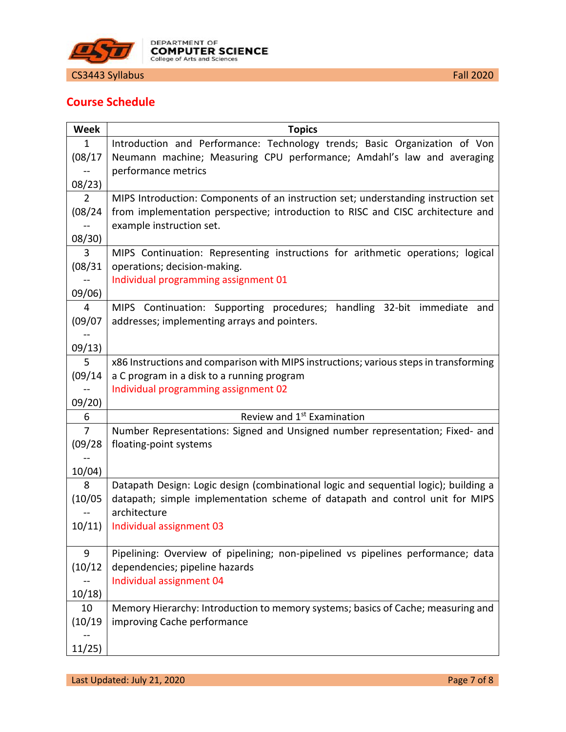

# <span id="page-6-0"></span>**Course Schedule**

| <b>Week</b>    | <b>Topics</b>                                                                         |
|----------------|---------------------------------------------------------------------------------------|
| 1              | Introduction and Performance: Technology trends; Basic Organization of Von            |
| (08/17)        | Neumann machine; Measuring CPU performance; Amdahl's law and averaging                |
|                | performance metrics                                                                   |
| 08/23)         |                                                                                       |
| $\overline{2}$ | MIPS Introduction: Components of an instruction set; understanding instruction set    |
| (08/24)        | from implementation perspective; introduction to RISC and CISC architecture and       |
|                | example instruction set.                                                              |
| 08/30          |                                                                                       |
| 3              | MIPS Continuation: Representing instructions for arithmetic operations; logical       |
| (08/31)        | operations; decision-making.                                                          |
|                | Individual programming assignment 01                                                  |
| 09/06)         |                                                                                       |
| 4              | handling 32-bit immediate<br>MIPS Continuation: Supporting procedures;<br>and         |
| (09/07)        | addresses; implementing arrays and pointers.                                          |
|                |                                                                                       |
| 09/13)         |                                                                                       |
| 5              | x86 Instructions and comparison with MIPS instructions; various steps in transforming |
| (09/14)        | a C program in a disk to a running program                                            |
|                | Individual programming assignment 02                                                  |
| 09/20          |                                                                                       |
| 6              | Review and 1st Examination                                                            |
| $\overline{7}$ | Number Representations: Signed and Unsigned number representation; Fixed- and         |
| (09/28)        | floating-point systems                                                                |
|                |                                                                                       |
| 10/04)         |                                                                                       |
| 8              | Datapath Design: Logic design (combinational logic and sequential logic); building a  |
| (10/05)        | datapath; simple implementation scheme of datapath and control unit for MIPS          |
|                | architecture                                                                          |
| 10/11          | Individual assignment 03                                                              |
|                |                                                                                       |
| 9              | Pipelining: Overview of pipelining; non-pipelined vs pipelines performance; data      |
| (10/12)        | dependencies; pipeline hazards                                                        |
|                | Individual assignment 04                                                              |
| 10/18          |                                                                                       |
| 10             | Memory Hierarchy: Introduction to memory systems; basics of Cache; measuring and      |
| (10/19)        | improving Cache performance                                                           |
|                |                                                                                       |
| 11/25)         |                                                                                       |